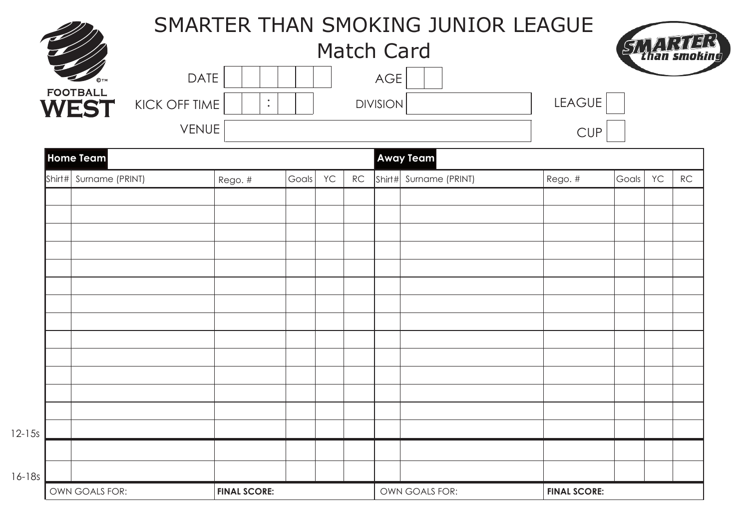|                |                                                 |                     |       |    |    |                 | SMARTER THAN SMOKING JUNIOR LEAGUE |                     |       |    |    |  |
|----------------|-------------------------------------------------|---------------------|-------|----|----|-----------------|------------------------------------|---------------------|-------|----|----|--|
|                |                                                 | <b>Match Card</b>   |       |    |    |                 |                                    |                     |       |    |    |  |
|                |                                                 | <b>DATE</b>         |       |    |    | AGE             |                                    |                     |       |    |    |  |
|                | <b>FOOTBALL</b><br>KICK OFF TIME<br><b>WEST</b> | $\ddot{\cdot}$      |       |    |    | <b>DIVISION</b> |                                    | LEAGUE              |       |    |    |  |
|                |                                                 | VENUE               |       |    |    |                 |                                    | <b>CUP</b>          |       |    |    |  |
|                | <b>Home Team</b>                                |                     |       |    |    |                 | <b>Away Team</b>                   |                     |       |    |    |  |
|                | Shirt# Surname (PRINT)                          | Rego. #             | Goals | YC | RC | Shirt#          | Surname (PRINT)                    | Rego. #             | Goals | YC | RC |  |
|                |                                                 |                     |       |    |    |                 |                                    |                     |       |    |    |  |
|                |                                                 |                     |       |    |    |                 |                                    |                     |       |    |    |  |
|                |                                                 |                     |       |    |    |                 |                                    |                     |       |    |    |  |
|                |                                                 |                     |       |    |    |                 |                                    |                     |       |    |    |  |
|                |                                                 |                     |       |    |    |                 |                                    |                     |       |    |    |  |
|                |                                                 |                     |       |    |    |                 |                                    |                     |       |    |    |  |
|                |                                                 |                     |       |    |    |                 |                                    |                     |       |    |    |  |
|                |                                                 |                     |       |    |    |                 |                                    |                     |       |    |    |  |
|                |                                                 |                     |       |    |    |                 |                                    |                     |       |    |    |  |
|                |                                                 |                     |       |    |    |                 |                                    |                     |       |    |    |  |
|                |                                                 |                     |       |    |    |                 |                                    |                     |       |    |    |  |
|                |                                                 |                     |       |    |    |                 |                                    |                     |       |    |    |  |
|                |                                                 |                     |       |    |    |                 |                                    |                     |       |    |    |  |
|                |                                                 |                     |       |    |    |                 |                                    |                     |       |    |    |  |
| OWN GOALS FOR: |                                                 | <b>FINAL SCORE:</b> |       |    |    | OWN GOALS FOR:  |                                    | <b>FINAL SCORE:</b> |       |    |    |  |